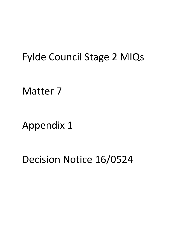# Fylde Council Stage 2 MIQs

Matter 7

Appendix 1

Decision Notice 16/0524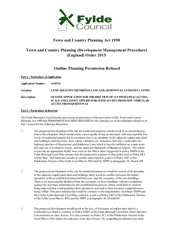

# **Town and Country Planning Act 1990**

# **Town and Country Planning (Development Management Procedure) (England) Order 2015**

# **Outline Planning Permission Refused**

| <b>Part 1 - Particulars of Application</b> |                                                                                                                                                                              |
|--------------------------------------------|------------------------------------------------------------------------------------------------------------------------------------------------------------------------------|
| <b>Application Number:</b>                 | 16/0524                                                                                                                                                                      |
| <b>Location:</b>                           | LAND ADJACENT KILNHOUSE LANE AND, QUEENSWAY, LYTHAM ST ANNES                                                                                                                 |
| Description:                               | <b>OUTLINE APPLICATION FOR THE ERECTION OF 115 DWELLINGS (ACCESS,</b><br><b>SCALE AND LAYOUT APPLIED FOR) WITH ACCESS FROM NEW VEHICULAR</b><br><b>ACCESS FROM QUEENSWAY</b> |

# **Part 2 - Particulars of decision**

The Fylde Borough Council hereby give notice in pursuance of the provisions of the Town and Country Planning Act 1990 that PERMISSION HAS BEEN REFUSED for the carrying out of development referred to in Part 1 hereof for the following Reason(s):

- 1 The proposed development of the site for residential purposes would result in an unsatisfactory form of development which would create a poor quality living environment with unacceptably low levels of residential amenity for its occupiers due to its proximity to the adjacent employment land and buildings (and the noise, dust, odour, vibration, etc. nuisances that they could emit), the highway junction of Queensway and Kilnhouse Lane which is heavily trafficked as a main route into and out of Lytham St Annes, and the approach flightpath of Blackpool Airport. The failure to provide an appropriate buffer zone such as the 30m or more suggested in policy EMP4 of the Fylde Borough Local Plan ensures that the proposal is contrary to that policy and to Policy HL2 of that Plan. This harm also results in conflict with criteria b, g and t of Policy GD7 of the Publication Version of the Fylde Local Plan to 2032 and the NPPF at paragraphs 56, 58 and 109.
- 2 The proposed development of the site for residential purposes would by reason of its proximity to the adjacent employment land and buildings likely result in conflicts between the lawful operation of these established industrial land uses, and the occupiers of the new dwellings. There is an unacceptable likelihood that the occupiers of these dwellings will raise complaints against the activities undertaken by the established businesses which could lead to controls being imposed that could prejudice their operations and lead to their business competitiveness being stifled. This poor relationship would be contrary to the requirements of policies EMP4 and HL2 of the Fylde Borough Local Plan, criteria b, g and t of Policy GD7 of the Publication Version of the Fylde Local Plan to 2032 and the NPPF at paragraphs 56, 58 amd109.
- 3 The proposed development would result in the loss of 4 hectares of employment land to a residential use which is contrary to Policy EMP2 of the Fylde Borough Local Plan which allocates it for retention in class B uses. It is also contrary to Policy EC1 of the Publication Version Fylde Local Plan to 2032 which also allocates it for class B uses. No compelling justification has been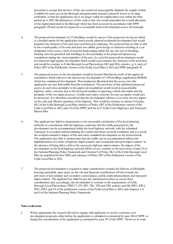presented to accept that the loss of this site would not unacceptably diminish the supply of land available for such uses in the Borough and particularly around Lytham St Annes as its main settlement, or that the application site is no longer viable for employment uses within the Plan period up to 2032. Residential use of this scale at this site would undermine the overall allocation of the employment land in the Borough which has been assessed in accordance with NPPF paragraph 158 and would not represent a sustainable form of development across the borough.

4 The proposed development of 115 dwellings would by reason of the proposed site layout which is a detailed matter for the application form a poorly planned residential development that would prejudice the character of the area and constitute poor planning. The proposed layout fails to add to the overall quality of the area and does not exhibit good design or character resulting in a car dominated street scene, a lack of room for landscaping within the site, the rear of dwellings backing onto the greenbelt and dwellings in close proximity to the proposed Queensway roundabout arming the visual amenities of the area. As such the proposed development would not represent high quality development which would cause harm to the character of the local area and would be contrary to Fylde Borough Local Plan policies HL2 and HL6, criteria c, g, h, and j of Policy GD7 of the Publication Version of the Fylde Local Plan to 2032 and NPPF paragraph 58

5 The proposed access to the development would be located 50m directly north of the approved roundabout which will serve the Queensway development of 1150 dwellings (application 08/0058) which has commenced development. That permission illustrated that the access into this application site was deliverable from the roundabout. The provision of this additional proposed access in such close proximity to the approved roundabout would result in unacceptable highway safety concerns due to the increased number of opposing vehicle movement and the proximity of the two major accesses. Conflict and safety concerns for non-car modes would also be increased. .It is therefore considered that the development will have a severely adverse impact on the safe and efficient operation of the highway. This would be contrary to criteria 9 of policy HL2 of the Fylde Borough Local Plan criteria p of Policy GD7 of the Publication version of the Fylde Local Plan to 2032, para 32 of the NPPF, and the LCC Fylde Coast Highways and Transport Master Plan.

6 The applicant has failed to demonstrate to the reasonable satisfaction of the local planning authority in consultation with the highways authority that the traffic generated by the development can be accommodated within the local highway network, with the submitted Transport Assessment underestimating the current and future network conditions and as a result the residual cumulative impact of this and other committed development on the local network. The application also fails to demonstrate that the traffic can be accommodated without the implementation of a series of highway improvements and sustainable transport improvements. In the absence of being able to deliver the necessary highway improvements, the impact of the development on the local highway network will be severe, contrary to the provisions of para 32 of the National Planning Policy Framework and Criterion 9 of Policy HL2 of the Fylde Borough Local Plan (as amended October 2005) and criteria p of Policy GD7 of the Publication version of the Fylde Local Plan to 2032.

7 The proposed development is required to make contributions towards the delivery of affordable housing and public open space on the site and financial contributions off-site towards the provision of new primary and secondary school places, public realm enhancements and transport improvements. The applicant has failed to put any mechanism in place to secure these contributions and, accordingly, the development is contrary to the requirements of Fylde Borough Local Plan policies TREC17, CF2, EP1, TR1, TR3 and TR5, policies and H4, HW2, HW3, INF1, INF2, and T4 of the publication version of the Fylde Local Plan to 2032, and chapters 4, 6 and 8 of the National Planning Policy Framework.

#### **Notes to decision:**

2. Where appropriate the council will seek to engage with applicants to resolve concerns over development proposals either before the application is submitted as promoted by para 188 of NPPF, or during the consideration of the application as promoted by para 187 of the NPPF. However, in some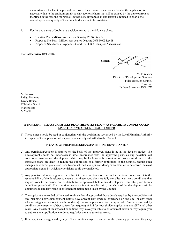circumstances it will not be possible to resolve these concerns and so a refusal of the application is necessary due to the environmental / social / economic harm that will be caused by the development as identified in the reasons for refusal. In these circumstances an application is refused to enable the overall speed and quality of the council's decisions to be maintained.

- 1. For the avoidance of doubt, this decision relates to the following plans:
	- Location Plan Millson Associates Drawing PL.001 Rev B
	- · Proposed Site Plan Millson Associates Drawing 2099-P.003 Rev B
	- Proposed Site Access Appendix C and D of CBO Transport Assessment

## **Date of Decision:** 03/11/2016

**Signed:**

Mr P. Walker Director of Development Services Fylde Borough Council Town Hall Lytham St Annes, FY8 1LW

MrJackson Indigo Planning Lowry House 17 Marble Street Manchester M23AW

## **IMPORTANT – PLEASE CAREFULLY READ THE NOTES BELOW AS FAILURE TO COMPLY COULD MAKE THE DEVELOPMENT UNAUTHORISED**

1) These notes should be read in conjunction with the decision notice issued by the Local Planning Authority in respect of the application which you have recently submitted to the Council.

## **IN CASES WHERE PERMISSION/CONSENT HAS BEEN GRANTED**

- 2) Any permission/consent is granted on the basis of the approved plans listed in the decision notice. The development should be undertaken in strict accordance with the approved plans, as any deviation will constitute unauthorised development which may be liable to enforcement action. Any amendments to the approved plans are likely to require the submission of a further application to the Council. Should such changes be desired, you are advised to contact the Development Management Service to determine the most appropriate means by which any revisions could be considered.
- 3) Any permission/consent granted is subject to the conditions set out in the decision notice and it is the responsibility of the developer to ensure that these conditions are fully complied with. Any conditions that require work to be carried out or details to be approved before any development can take place form a "condition precedent". If a condition precedent is not complied with, the whole of the development will be unauthorised and may result in enforcement action being taken by the Council.
- 4) The applicant is reminded of the need to obtain formal approval of those details required by the conditions of any planning permission/consent before development may lawfully commence on the site (or any other relevant trigger as set out in each condition). Formal applications for the approval of matters reserved by condition are currently subject to fees (per request) of £28 for householder applications and £97 in all other cases. Any breach of the imposed conditions may leave you liable to enforcement action or may require you to submit a new application in order to regularise any unauthorised works.
- 5) If the applicant is aggrieved by any of the conditions imposed as part of the planning permission, they may